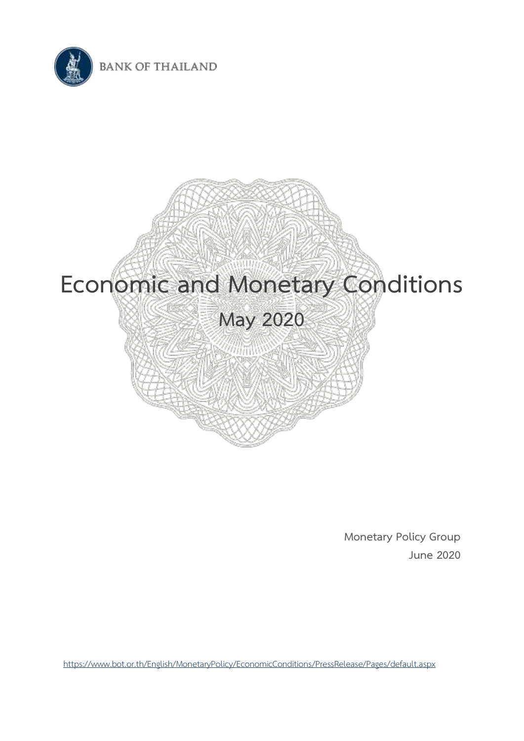



**Monetary Policy Group June 2020**

<https://www.bot.or.th/English/MonetaryPolicy/EconomicConditions/PressRelease/Pages/default.aspx>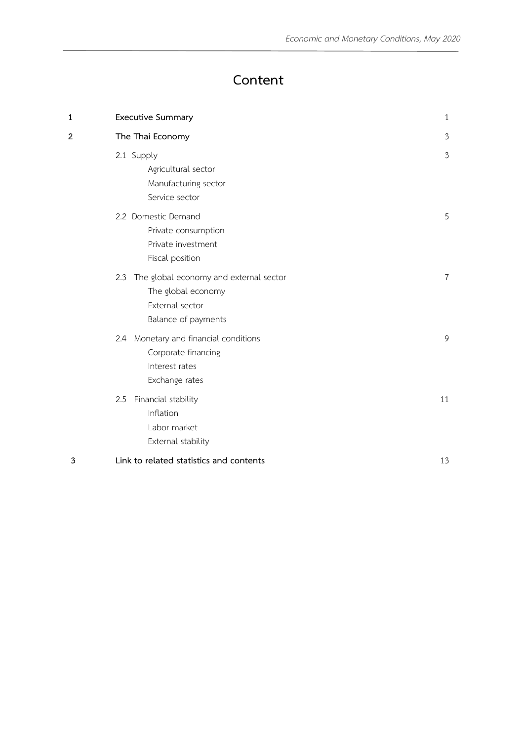# **Content**

| 1                       | <b>Executive Summary</b>                                                                                      | $\mathbf{1}$   |
|-------------------------|---------------------------------------------------------------------------------------------------------------|----------------|
| $\overline{\mathbf{c}}$ | The Thai Economy                                                                                              | $\mathfrak{Z}$ |
|                         | 2.1 Supply<br>Agricultural sector<br>Manufacturing sector<br>Service sector                                   | $\mathfrak{Z}$ |
|                         | 2.2 Domestic Demand<br>Private consumption<br>Private investment<br>Fiscal position                           | 5              |
|                         | The global economy and external sector<br>2.3<br>The global economy<br>External sector<br>Balance of payments | 7              |
|                         | 2.4 Monetary and financial conditions<br>Corporate financing<br>Interest rates<br>Exchange rates              | 9              |
|                         | Financial stability<br>2.5<br>Inflation<br>Labor market<br>External stability                                 | 11             |
| 3                       | Link to related statistics and contents                                                                       | 13             |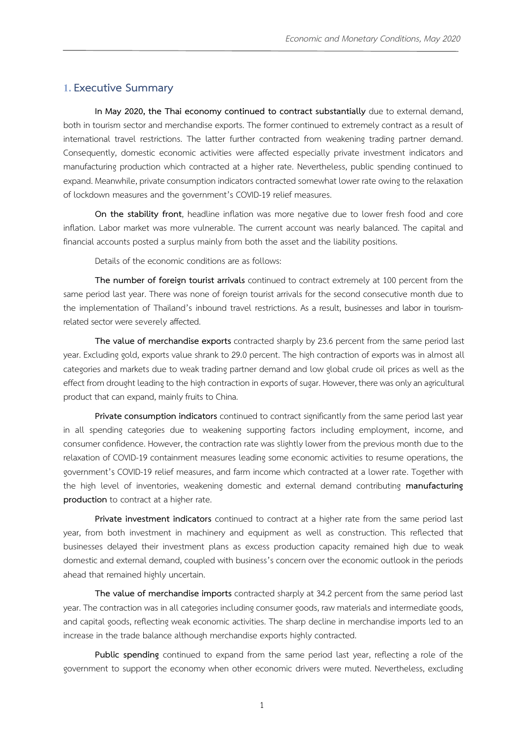### **1.Executive Summary**

**In May 2020, the Thai economy continued to contract substantially** due to external demand, both in tourism sector and merchandise exports. The former continued to extremely contract as a result of international travel restrictions. The latter further contracted from weakening trading partner demand. Consequently, domestic economic activities were affected especially private investment indicators and manufacturing production which contracted at a higher rate. Nevertheless, public spending continued to expand. Meanwhile, private consumption indicators contracted somewhat lower rate owing to the relaxation of lockdown measures and the government's COVID-19 relief measures.

**On the stability front**, headline inflation was more negative due to lower fresh food and core inflation. Labor market was more vulnerable. The current account was nearly balanced. The capital and financial accounts posted a surplus mainly from both the asset and the liability positions.

Details of the economic conditions are as follows:

**The number of foreign tourist arrivals** continued to contract extremely at 100 percent from the same period last year. There was none of foreign tourist arrivals for the second consecutive month due to the implementation of Thailand's inbound travel restrictions. As a result, businesses and labor in tourismrelated sector were severely affected.

**The value of merchandise exports** contracted sharply by 23.6 percent from the same period last year. Excluding gold, exports value shrank to 29.0 percent. The high contraction of exports was in almost all categories and markets due to weak trading partner demand and low global crude oil prices as well as the effect from drought leading to the high contraction in exports of sugar. However, there was only an agricultural product that can expand, mainly fruits to China.

**Private consumption indicators** continued to contract significantly from the same period last year in all spending categories due to weakening supporting factors including employment, income, and consumer confidence. However, the contraction rate was slightly lower from the previous month due to the relaxation of COVID-19 containment measures leading some economic activities to resume operations, the government's COVID-19 relief measures, and farm income which contracted at a lower rate. Together with the high level of inventories, weakening domestic and external demand contributing **manufacturing production** to contract at a higher rate.

**Private investment indicators** continued to contract at a higher rate from the same period last year, from both investment in machinery and equipment as well as construction. This reflected that businesses delayed their investment plans as excess production capacity remained high due to weak domestic and external demand, coupled with business's concern over the economic outlook in the periods ahead that remained highly uncertain.

**The value of merchandise imports** contracted sharply at 34.2 percent from the same period last year. The contraction was in all categories including consumer goods, raw materials and intermediate goods, and capital goods, reflecting weak economic activities. The sharp decline in merchandise imports led to an increase in the trade balance although merchandise exports highly contracted.

**Public spending** continued to expand from the same period last year, reflecting a role of the government to support the economy when other economic drivers were muted. Nevertheless, excluding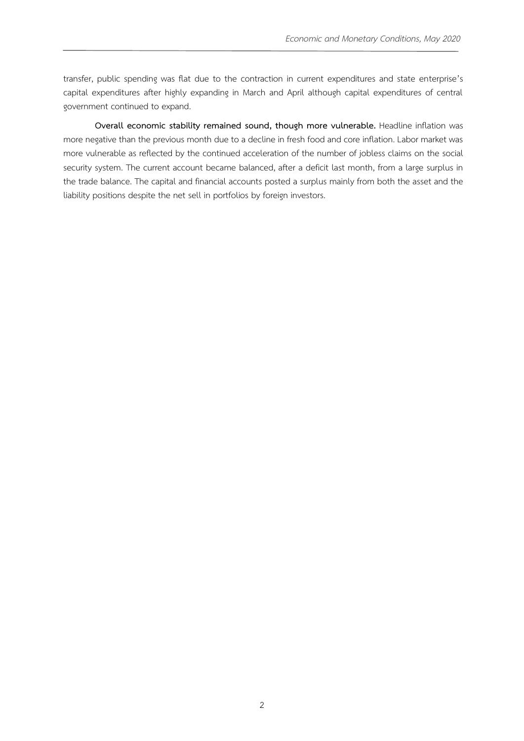transfer, public spending was flat due to the contraction in current expenditures and state enterprise's capital expenditures after highly expanding in March and April although capital expenditures of central government continued to expand.

**Overall economic stability remained sound, though more vulnerable.** Headline inflation was more negative than the previous month due to a decline in fresh food and core inflation. Labor market was more vulnerable as reflected by the continued acceleration of the number of jobless claims on the social security system. The current account became balanced, after a deficit last month, from a large surplus in the trade balance. The capital and financial accounts posted a surplus mainly from both the asset and the liability positions despite the net sell in portfolios by foreign investors.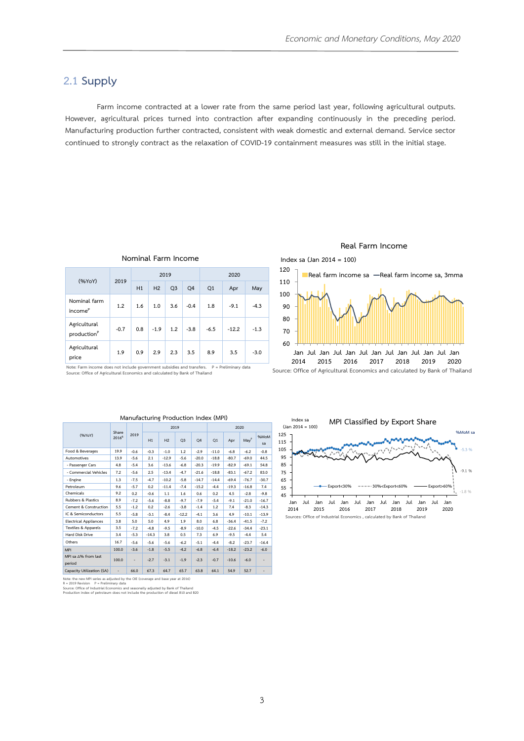### **2.1 Supply**

**Farm income contracted at a lower rate from the same period last year, following agricultural outputs. However, agricultural prices turned into contraction after expanding continuously in the preceding period. Manufacturing production further contracted, consistent with weak domestic and external demand. Service sector continued to strongly contract as the relaxation of COVID-19 containment measures was still in the initial stage.**

|                                         | 2019   |     | 2019           |                |        | 2020   |         |        |  |  |
|-----------------------------------------|--------|-----|----------------|----------------|--------|--------|---------|--------|--|--|
| (%YoY)                                  |        | H1  | H <sub>2</sub> | Q <sub>3</sub> | Q4     | Q1     | Apr     | May    |  |  |
| Nominal farm<br>income <sup>P</sup>     | 1.2    | 1.6 | 1.0            | 3.6            | $-0.4$ | 1.8    | $-9.1$  | $-4.3$ |  |  |
| Agricultural<br>production <sup>P</sup> | $-0.7$ | 0.8 | $-1.9$         | 1.2            | $-3.8$ | $-6.5$ | $-12.2$ | $-1.3$ |  |  |
| Agricultural<br>price                   | 1.9    | 0.9 | 2.9            | 2.3            | 3.5    | 8.9    | 3.5     | $-3.0$ |  |  |

**Nominal Farm Income**

**Note: Farm income does not include government subsidies and transfers. P = Preliminary data Source: Office of Agricultural Economics and calculated by Bank of Thailand**

| warranactarmis i rodaction mack (ivil 1) |                   |                              |         |         |                |                |         |         |                  |                              |  |
|------------------------------------------|-------------------|------------------------------|---------|---------|----------------|----------------|---------|---------|------------------|------------------------------|--|
|                                          | Share             |                              |         | 2019    |                |                | 2020    |         |                  |                              |  |
| (%YoY)                                   | 2016 <sup>R</sup> | 2019                         | H1      | H2      | O <sub>3</sub> | O <sub>4</sub> | O1      | Apr     | May <sup>p</sup> | %MoM<br>sa                   |  |
| Food & Beverages                         | 19.9              | $-0.6$                       | $-0.3$  | $-1.0$  | 1.2            | $-2.9$         | $-11.0$ | $-6.8$  | $-6.2$           | $-0.8$                       |  |
| Automotives                              | 13.9              | $-5.6$                       | 2.1     | $-12.9$ | $-5.6$         | $-20.0$        | $-18.8$ | $-80.7$ | $-69.0$          | 44.5                         |  |
| - Passenger Cars                         | 4.8               | $-5.4$                       | 3.6     | $-13.6$ | $-6.8$         | $-20.3$        | $-19.9$ | $-82.9$ | $-69.1$          | 54.8                         |  |
| - Commercial Vehicles                    | 7.2               | $-5.6$                       | 2.5     | $-13.4$ | $-4.7$         | $-21.6$        | $-18.8$ | $-83.1$ | $-67.2$          | 83.0                         |  |
| - Engine                                 | 1.3               | $-7.5$                       | $-4.7$  | $-10.2$ | $-5.8$         | $-14.7$        | $-14.4$ | $-69.4$ | $-76.7$          | $-30.7$                      |  |
| Petroleum                                | 9.6               | $-5.7$                       | 0.2     | $-11.4$ | $-7.4$         | $-15.2$        | $-4.4$  | $-19.3$ | $-16.8$          | 7.4                          |  |
| Chemicals                                | 9.2               | 0.2                          | $-0.6$  | 1.1     | 1.6            | 0.6            | 0.2     | 4.5     | $-2.8$           | $-9.8$                       |  |
| <b>Rubbers &amp; Plastics</b>            | 8.9               | $-7.2$                       | $-5.6$  | $-8.8$  | $-9.7$         | $-7.9$         | $-5.4$  | $-9.1$  | $-21.0$          | $-16.7$                      |  |
| Cement & Construction                    | 5.5               | $-1.2$                       | 0.2     | $-2.6$  | $-3.8$         | $-1.4$         | 1.2     | 7.4     | $-8.3$           | $-14.3$                      |  |
| IC & Semiconductors                      | 5.5               | $-5.8$                       | $-3.1$  | $-8.4$  | $-12.2$        | $-4.1$         | 3.6     | 4.9     | $-10.1$          | $-13.9$                      |  |
| <b>Electrical Appliances</b>             | 3.8               | 5.0                          | 5.0     | 4.9     | 1.9            | 8.0            | 6.8     | $-36.4$ | $-41.5$          | $-7.2$                       |  |
| <b>Textiles &amp; Apparels</b>           | 3.5               | $-7.2$                       | $-4.8$  | $-9.5$  | $-8.9$         | $-10.0$        | $-4.5$  | $-22.6$ | $-34.4$          | $-23.1$                      |  |
| Hard Disk Drive                          | 3.4               | $-5.3$                       | $-14.3$ | 3.8     | 0.5            | 7.3            | 6.9     | $-9.5$  | $-4.4$           | 5.4                          |  |
| Others                                   | 16.7              | $-5.6$                       | $-5.6$  | $-5.6$  | $-6.2$         | $-5.1$         | $-4.4$  | $-8.2$  | $-23.7$          | $-16.4$                      |  |
| <b>MPI</b>                               | 100.0             | $-3.6$                       | $-1.8$  | $-5.5$  | $-4.2$         | $-6.8$         | $-6.4$  | $-18.2$ | $-23.2$          | $-6.0$                       |  |
| MPI sa ∆% from last<br>period            | 100.0             | $\qquad \qquad \blacksquare$ | $-2.7$  | $-3.1$  | $-1.9$         | $-2.3$         | $-0.7$  | $-10.6$ | $-6.0$           | ٠                            |  |
| Capacity Utilization (SA)                | ٠                 | 66.0                         | 67.3    | 64.7    | 65.7           | 63.8           | 64.1    | 54.9    | 52.7             | $\qquad \qquad \blacksquare$ |  |

#### **Manufacturing Production Index (MPI)**

Note: the new MPI series as adjusted by the OIE (coverage and base year at 2016)<br>R = 2019 Revision P = Preliminary data<br>Source: Office of Industrial Economics and seasonally adjusted by Bank of Thailand<br>Production index of



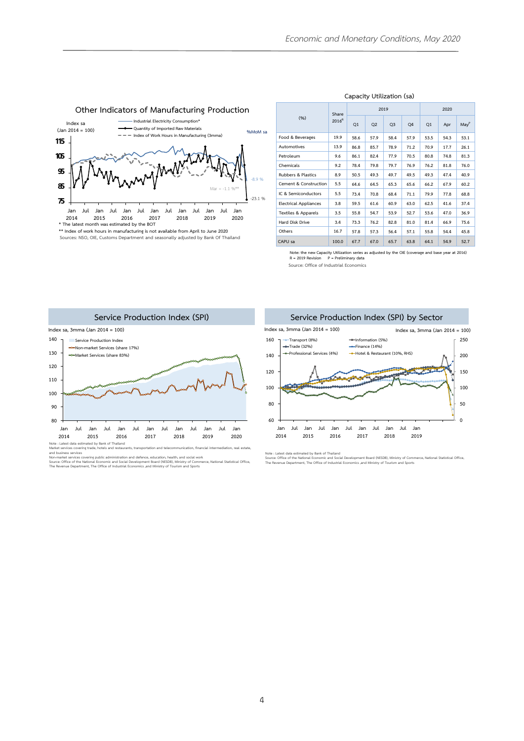

#### **Capacity Utilization (sa)**

|                              | Share             |      |                | 2019           |      | 2020 |      |                  |  |
|------------------------------|-------------------|------|----------------|----------------|------|------|------|------------------|--|
| (%)                          | 2016 <sup>R</sup> | Q1   | Q <sub>2</sub> | Q <sub>3</sub> | Q4   | Q1   | Apr  | May <sup>P</sup> |  |
| Food & Beverages             | 19.9              | 58.6 | 57.9           | 58.4           | 57.9 | 53.5 | 54.3 | 53.1             |  |
| Automotives                  | 13.9              | 86.8 | 85.7           | 78.9           | 71.2 | 70.9 | 17.7 | 26.1             |  |
| Petroleum                    | 9.6               | 86.1 | 82.4           | 77.9           | 70.5 | 80.8 | 74.8 | 81.3             |  |
| Chemicals                    | 9.2               | 78.4 | 79.8           | 79.7           | 76.9 | 76.2 | 81.8 | 76.0             |  |
| Rubbers & Plastics           | 8.9               | 50.5 | 49.3           | 49.7           | 49.5 | 49.3 | 47.4 | 40.9             |  |
| Cement & Construction        | 5.5               | 64.6 | 64.5           | 65.3           | 65.6 | 66.2 | 67.9 | 60.2             |  |
| IC & Semiconductors          | 5.5               | 73.4 | 70.8           | 68.4           | 71.1 | 79.9 | 77.8 | 68.8             |  |
| <b>Electrical Appliances</b> | 3.8               | 59.5 | 61.6           | 60.9           | 63.0 | 62.5 | 41.6 | 37.4             |  |
| Textiles & Apparels          | 3.5               | 55.8 | 54.7           | 53.9           | 52.7 | 53.6 | 47.0 | 36.9             |  |
| Hard Disk Drive              | 3.4               | 73.3 | 76.2           | 82.8           | 81.0 | 81.4 | 66.9 | 75.6             |  |
| Others                       | 16.7              | 57.8 | 57.3           | 56.4           | 57.1 | 55.8 | 54.4 | 45.8             |  |
| CAPU sa                      | 100.0             | 67.7 | 67.0           | 65.7           | 63.8 | 64.1 | 54.9 | 52.7             |  |

**Note: the new Capacity Utilization series as adjusted by the OIE (coverage and base year at 2016) R = 2019 Revision P = Preliminary data**

**Source: Office of Industrial Economics**



and business services<br>Non-market services covering public administration and defence, education, health, and social work<br>Source: Office of the National Economic and Social Development Board (NESDB), Ministry of Commerce, N

**Service Production Index (SPI) by Sector Index sa, 3mma (Jan 2014 = 100) Index sa, 3mma (Jan 2014 = 100)160 Transport (8%) Information (5%) 250 Trade (32%) Finance (14%)**<br>For Professional Services (4%) → Hotel & Restau **Professional Services (4%) Hotel & Restaurant (10%, RHS) 140 200 150 120** J.



Note : Latest data estimated by Bank of Thailand<br>Source: Office of the National Economic and Social Development Board (NESDB), Ministry of Commerce, National Statistical Office,<br>The Revenue Department, The Office of Indust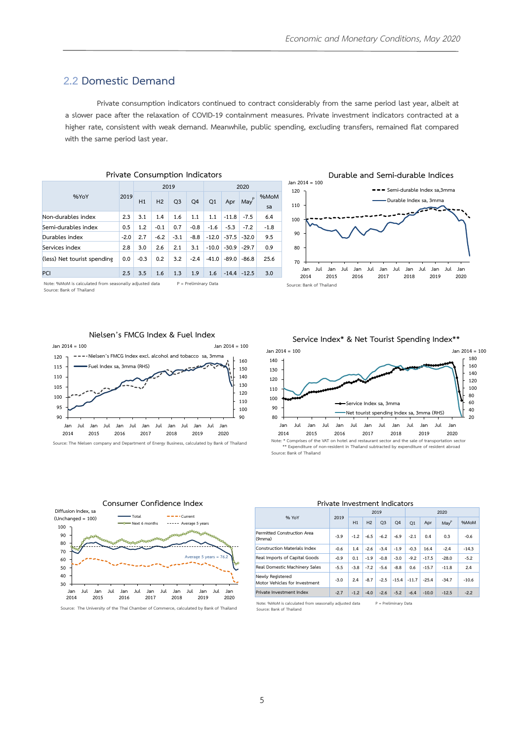### **2.2 Domestic Demand**

**Private consumption indicators continued to contract considerably from the same period last year, albeit at a slower pace after the relaxation of COVID-19 containment measures. Private investment indicators contracted at a higher rate, consistent with weak demand. Meanwhile, public spending, excluding transfers, remained flat compared with the same period last year.**

| <b>Private Consumption Indicators</b> |        |        |                |                |                |         |         |                       |            |  |  |  |
|---------------------------------------|--------|--------|----------------|----------------|----------------|---------|---------|-----------------------|------------|--|--|--|
|                                       |        |        | 2019           |                |                | 2020    |         |                       |            |  |  |  |
| %YoY                                  | 2019   | H1     | H <sub>2</sub> | Q <sub>3</sub> | O <sub>4</sub> | Q1      | Apr     | P<br>May <sup>'</sup> | %MoM<br>sa |  |  |  |
| Non-durables index                    | 2.3    | 3.1    | 1.4            | 1.6            | 1.1            | 1.1     | $-11.8$ | $-7.5$                | 6.4        |  |  |  |
| Semi-durables index                   | 0.5    | 1.2    | $-0.1$         | 0.7            | $-0.8$         | $-1.6$  | $-5.3$  | $-7.2$                | $-1.8$     |  |  |  |
| Durables index                        | $-2.0$ | 2.7    | $-6.2$         | $-3.1$         | $-8.8$         | $-12.0$ | $-37.5$ | $-32.0$               | 9.5        |  |  |  |
| Services index                        | 2.8    | 3.0    | 2.6            | 2.1            | 3.1            | $-10.0$ | $-30.9$ | $-29.7$               | 0.9        |  |  |  |
| (less) Net tourist spending           | 0.0    | $-0.3$ | 0.2            | 3.2            | $-2.4$         | $-41.0$ | $-89.0$ | $-86.8$               | 25.6       |  |  |  |
| PCI                                   | 2.5    | 3.5    | 1.6            | 1.3            | 1.9            | 1.6     | $-14.4$ | $-12.5$               | 3.0        |  |  |  |

**Note: %MoM is calculated from seasonally adjusted data P = Preliminary Data Source: Bank of Thailand**



### **Nielsen's FMCG Index & Fuel Index**



**Source: The Nielsen company and Department of Energy Business, calculated by Bank of Thailand** 

**Service Index\* & Net Tourist Spending Index\*\***



**\*\* Expenditure of non-resident in Thailand subtracted by expenditure of resident abroad Source: Bank of Thailand**

**Construction Materials Index . . 2. . . . . 2. -14.3 Real Imports of Capital Goods . . . . . .2 . 2 . -5.2 Real Domestic Machinery Sales** | -5.5 | -3.8 | -7.2 | -5.6 | -8.8 | 0.6 | -15.7 | -11.8 | 2.4

**Private Investment Indicators** 

**Motor Vehicles for Investment .** -3.0 **.** 2.4 **.** -8.7 **.** -2.5 **.** -15.4 **.** -11.7 **.** -25.4 **.** -34.7 . 10.6 Private Investment Index 2.7 -1.2 -4.0 -2.6 -5.2 -6.4 -10.0 -12.5 -2.2

**2 2020 H1 H2 Q3 Q4 Q1 Apr May<sup>P</sup> %MoM**

 $-3.9$   $-1.2$   $-6.5$   $-6.2$   $-6.9$   $-2.1$  0.4 0.3  $-0.6$ 



**Consumer Confidence Index**

**Diffusion Index, sa**

Note: %MoM is calculated from seasonally adjusted data P = Preliminary Data **Source: Bank of Thailand**

**% YoY 2019**

**Permitted Construction Area** 

**(9mma)**

**Newly Registered** 

#### **30 40 50 60 70 80 Jan 2014 Jul Jan 2015 Jul Jan 2016 Jul Jan 2017 Jul Jan 2018 Jul Jan 2019 Jul Jan 2020 Average 5 years = 76.2 Source: The University of the Thai Chamber of Commerce, calculated by Bank of Thailand**

### 5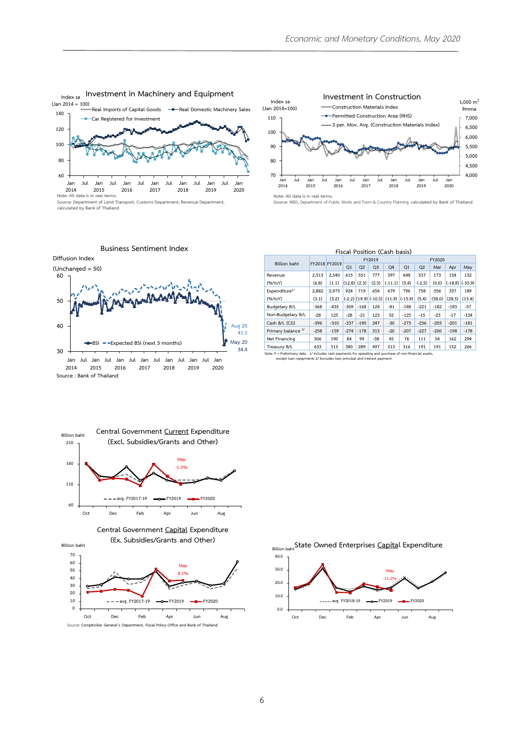

**Investment in Machinery and Equipment Index sa**

**Source: Department of Land Transport, Customs Department, Revenue Department, calculated by Bank of Thailand**



| stment in Machinery and Equipment<br>- Real Domestic Machinery Sales<br>l Imports of Capital Goods<br>Registered for Investment                                                                        | Index sa<br>$(Jan 2014=100)$<br>110<br>100<br>90                                  | Investment in Construction<br>Construction Materials Index<br>- Permitted Construction Area (RHS)<br>3 per. Mov. Avg. (Construction Materials Index)                                                               |                         |  |  |  |  |  |
|--------------------------------------------------------------------------------------------------------------------------------------------------------------------------------------------------------|-----------------------------------------------------------------------------------|--------------------------------------------------------------------------------------------------------------------------------------------------------------------------------------------------------------------|-------------------------|--|--|--|--|--|
| Jul<br>Jul<br>Jul<br>Jan<br>Jan<br>Jul<br>Jan<br>Jan<br>Jan<br>Jul<br>2016<br>2017<br>2018<br>2019<br>2020<br>.5<br>il terms.<br>f Land Transport, Customs Department, Revenue Department,<br>Thailand | 80<br>70<br>Jul<br>Jan<br>Jan<br>2014<br>2015<br>Note: All data is in real terms. | lul<br>lul<br>Jan<br>-lul<br>Jan<br>Jan<br>Jul<br>Jan<br>Jan<br>Jul<br>2016<br>2017<br>2018<br>2019<br>2020<br>Source: NSO, Department of Public Works and Town & Country Planning, calculated by Bank of Thailand | 5,000<br>4,500<br>4,000 |  |  |  |  |  |
| Business Sentiment Index                                                                                                                                                                               |                                                                                   | Fiscal Position (Cash basis)                                                                                                                                                                                       |                         |  |  |  |  |  |

|                               | Fiscal Position (Cash basis)                                                  |               |        |                |                         |                |           |          |        |        |                     |
|-------------------------------|-------------------------------------------------------------------------------|---------------|--------|----------------|-------------------------|----------------|-----------|----------|--------|--------|---------------------|
|                               |                                                                               |               |        |                | FY2019                  |                | FY2020    |          |        |        |                     |
| <b>Billion baht</b>           |                                                                               | FY2018 FY2019 | Q1     | Q <sub>2</sub> | Q <sub>3</sub>          | O <sub>4</sub> | Q1        | Q2       | Mar    | Apr    | May                 |
| Revenue                       | 2.513                                                                         | 2.540         | 615    | 551            | 777                     | 597            | 648       | 537      | 173    | 154    | 132                 |
| (%YoY)                        | (6.8)                                                                         | (1.1)         | (12.8) | (2.3)          | (2.5)                   | $(-11.1)$      | (5.4)     | $(-2.5)$ | (0.0)  |        | $(-18.8)$ $(-35.9)$ |
| Expenditure <sup>1/</sup>     | 2.882                                                                         | 2.975         | 924    | 719            | 654                     | 679            | 796       | 758      | 356    | 337    | 189                 |
| (%YoY)                        | (3.1)                                                                         | (3.2)         |        |                | $(-2.2)$ (19.9) (-10.5) | (11.9)         | $(-13.9)$ | (5.4)    | (58.0) | (28.5) | (15.4)              |
| <b>Budgetary B/L</b>          | $-368$                                                                        | $-435$        | $-309$ | $-168$         | 124                     | $-81$          | $-148$    | $-221$   | $-182$ | $-183$ | $-57$               |
| Non-Budgetary B/L             | $-28$                                                                         | 125           | $-28$  | $-21$          | 123                     | 52             | $-125$    | $-15$    | $-23$  | $-17$  | $-124$              |
| Cash B/L (CG)                 | $-396$                                                                        | $-310$        | $-337$ | $-190$         | 247                     | $-30$          | $-273$    | $-236$   | $-205$ | $-201$ | $-181$              |
| Primary balance <sup>2/</sup> | $-258$                                                                        | $-159$        | $-274$ | $-178$         | 313                     | $-20$          | $-207$    | $-227$   | $-200$ | $-198$ | $-178$              |
| Net Financing                 | 506                                                                           | 190           | 84     | 99             | $-38$                   | 45             | 76        | 111      | 54     | 162    | 294                 |
| Treasury B/L                  | 633                                                                           | 513           | 380    | 289            | 497                     | 513            | 316       | 191      | 191    | 152    | 266                 |
| Note: P = Preliminary data    | 1/ Includes cash payments for operating and purchase of non-financial assets, |               |        |                |                         |                |           |          |        |        |                     |

**except loan repayments 2/ Excludes loan principal and interest payment**







**State Owned Enterprises Capital Expenditure Billion baht**

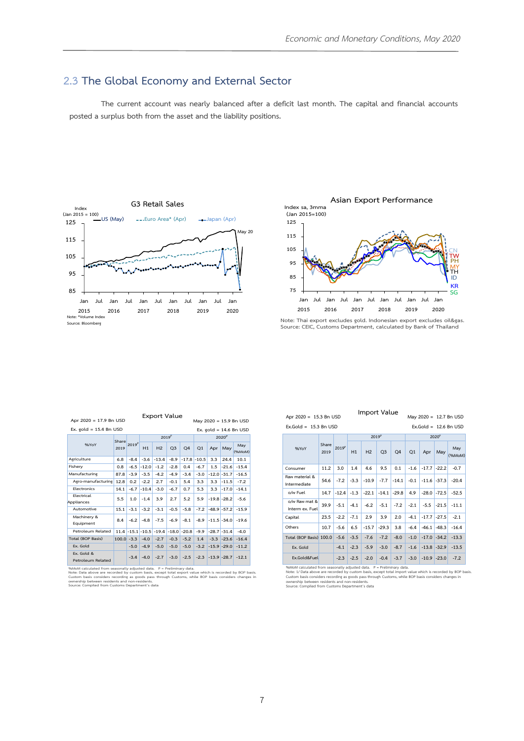## **2.3 The Global Economy and External Sector**

**The current account was nearly balanced after a deficit last month. The capital and financial accounts posted a surplus both from the asset and the liability positions.**





**Note: Thai export excludes gold. Indonesian export excludes oil&gas. Source: CEIC, Customs Department, calculated by Bank of Thailand**

|                                 | <b>Export Value</b><br>Apr 2020 = 17.9 Bn USD<br>May 2020 = 15.9 Bn USD |                   |                |                   |                |                 |                   |                 |         |                          |  |
|---------------------------------|-------------------------------------------------------------------------|-------------------|----------------|-------------------|----------------|-----------------|-------------------|-----------------|---------|--------------------------|--|
| Ex. gold = $15.4$ Bn USD        |                                                                         |                   |                |                   |                |                 |                   |                 |         | Ex. gold = $14.6$ Bn USD |  |
|                                 | Share                                                                   |                   |                | 2019 <sup>P</sup> |                |                 | 2020 <sup>P</sup> |                 |         |                          |  |
| %YoY                            | 2019                                                                    | 2019 <sup>P</sup> | H1             | H <sub>2</sub>    | Q <sub>3</sub> | O <sub>4</sub>  | O <sub>1</sub>    | Apr             | May     | May<br>(%MoM)            |  |
| Agriculture                     | 6.8                                                                     | $-8.4$            | $-3.6$         | $-13.4$           | $-8.9$         | $-17.8 - 10.5$  |                   | 3.3             | 24.4    | 10.1                     |  |
| Fisherv                         | 0.8                                                                     | $-6.5$            | $-12.0$        | $-1.2$            | $-2.8$         | 0.4             | $-6.7$            | 1.5             | $-21.6$ | $-15.4$                  |  |
| Manufacturing                   | 87.8                                                                    | $-3.9$            | $-3.5$         | $-4.2$            | $-4.9$         | $-3.4$          | $-3.0$            | $-12.0 - 31.7$  |         | $-16.5$                  |  |
| Agro-manufacturing              | 12.8                                                                    | 0.2               | $-2.2$         | 2.7               | $-0.1$         | 5.4             | 3.3               | 3.3             | $-11.5$ | $-7.2$                   |  |
| Electronics                     | 14.1                                                                    | $-6.7$            | $-10.4$        | $-3.0$            | $-6.7$         | 0.7             | 5.3               | 3.3             | $-17.0$ | $-14.1$                  |  |
| Electrical<br>Appliances        | 5.5                                                                     | 1.0               | $-1.4$         | 3.9               | 2.7            | 5.2             | 5.9               | $-19.8 - 28.2$  |         | $-5.6$                   |  |
| Automotive                      | 15.1                                                                    | $-3.1$            | $-3.2$         | $-3.1$            | $-0.5$         | $-5.8$          | $-7.2$            | $-48.9 - 57.2$  |         | $-15.9$                  |  |
| Machinery &<br>Equipment        | 8.4                                                                     | $-6.2$            | $-4.8$         | $-7.5$            | $-6.9$         | $-8.1$          | $-8.9$            | $-11.5$ $-34.0$ |         | $-19.6$                  |  |
| Petroleum Related               | 11.4                                                                    |                   | $-15.1 - 10.5$ | $-19.4$           |                | $-18.0$ $-20.8$ | $-9.9$            | $-28.7 - 31.4$  |         | $-4.0$                   |  |
| <b>Total (BOP Basis)</b>        | $100.0 - 3.3$                                                           |                   | $-4.0$         | $-2.7$            | $-0.3$         | $-5.2$          | 1.4               | $-3.3$          | $-23.6$ | $-16.4$                  |  |
| Ex. Gold                        |                                                                         | $-5.0$            | $-4.9$         | $-5.0$            | $-5.0$         | $-5.0$          | $-3.2$            | $-15.9 - 29.0$  |         | $-11.2$                  |  |
| Ex. Gold &<br>Petroleum Related |                                                                         | $-3.4$            | $-4.0$         | $-2.7$            | $-3.0$         | $-2.5$          | $-2.3$            | $-13.9 - 28.7$  |         | $-12.1$                  |  |

%MoM calculated from seasonally adjusted data. P = Preliminary data.<br>Note: Data above are recorded by custom basis, except total export value which is recorded by BOP basis.<br>Custom basis considers recording as goods pass t

| Apr 2020 = 15.3 Bn USD<br>May 2020 = 12,7 Bn USD                                      |               |                   |        |                   |                |         |                   |         |                 |                         |  |  |
|---------------------------------------------------------------------------------------|---------------|-------------------|--------|-------------------|----------------|---------|-------------------|---------|-----------------|-------------------------|--|--|
| Ex, Gold = $15.3$ Bn USD                                                              |               |                   |        |                   |                |         |                   |         |                 | Ex.Gold = $12.6$ Bn USD |  |  |
|                                                                                       |               |                   |        | 2019 <sup>P</sup> |                |         | 2020 <sup>P</sup> |         |                 |                         |  |  |
| %YoY                                                                                  | Share<br>2019 | 2019 <sup>p</sup> | H1     | H <sub>2</sub>    | Q <sub>3</sub> | Q4      | Q1                | Apr     | May             | May<br>(%MoM)           |  |  |
| Consumer                                                                              | 11.2          | 3.0               | 1.4    | 4.6               | 9.5            | 0.1     | $-1.6$            |         | $-17.7$ $-22.2$ | $-0.7$                  |  |  |
| Raw material &<br>Intermediate                                                        | 54.6          | $-7.2$            | $-3.3$ | $-10.9$           | $-7.7$         | $-14.1$ | $-0.1$            |         | $-11.6$ $-37.3$ | $-20.4$                 |  |  |
| o/w Fuel                                                                              | 14.7          | $-12.4$           | $-1.3$ | $-22.1$           | $-14.1$        | $-29.8$ | 4.9               | $-28.0$ | $-72.5$         | $-52.5$                 |  |  |
| o/w Raw mat &<br>Interm ex. Fuel                                                      | 39.9          | $-5.1$            | $-4.1$ | $-6.2$            | $-5.1$         | $-7.2$  | $-2.1$            | $-5.5$  | $-21.5$         | $-11.1$                 |  |  |
| Capital                                                                               | 23.5          | $-2.2$            | $-7.1$ | 2.9               | 3.9            | 2.0     | $-4.1$            |         | $-17.7$ $-27.5$ | $-2.1$                  |  |  |
| Others                                                                                | 10.7          | $-5.6$            | 6.5    | $-15.7$           | $-29.3$        | 3.8     | $-6.4$            | $-46.1$ | $-48.3$         | $-16.4$                 |  |  |
| Total (BOP Basis) 100.0                                                               |               | $-5.6$            | $-3.5$ | $-7.6$            | $-7.2$         | $-8.0$  | $-1.0$            |         | $-17.0$ $-34.2$ | $-13.3$                 |  |  |
| Ex. Gold                                                                              |               | $-4.1$            | $-2.3$ | $-5.9$            | $-3.0$         | $-8.7$  | $-1.6$            |         | $-13.8 - 32.9$  | $-13.5$                 |  |  |
| Ex.Gold&Fuel<br>04 Metal entertaked from concomplicadizated data D - Drollectons data |               | $-2.3$            | $-2.5$ | $-2.0$            | $-0.4$         | $-3.7$  | $-3.0$            |         | $-10.9$ $-23.0$ | $-7.2$                  |  |  |

**Import Value**

%MoM calculated from seasonally adjusted data. P = Preliminary data.<br>Note: 1/ Data above are recorded by custom basis, except total import value which is recorded by BOP basis.<br>Custom basis considers recording as goods pas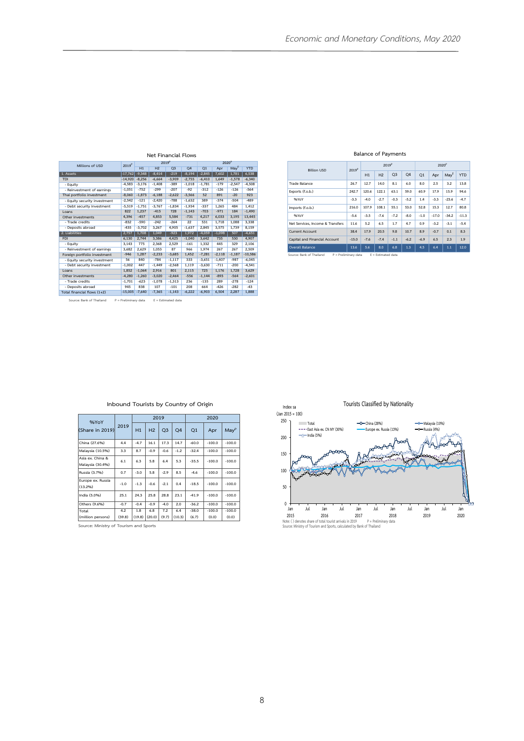| Millions of USD              | 2019 <sup>P</sup> |          |                | 2019 <sup>P</sup> |                | 2020 <sup>P</sup> |          |          |            |  |
|------------------------------|-------------------|----------|----------------|-------------------|----------------|-------------------|----------|----------|------------|--|
|                              |                   | H1       | H <sub>2</sub> | Q <sub>3</sub>    | O <sub>4</sub> | Q1                | Apr      | May      | <b>YTD</b> |  |
| 1. Assets                    | $-17.762$         | $-9,348$ | $-8,414$       | $-219$            | $-8,194$       | $-2,845$          | 7,602    | 1,781    | 6,538      |  |
| <b>TDI</b>                   | $-14,920$         | $-8.256$ | $-6.664$       | $-3.909$          | $-2.755$       | $-6.410$          | 1.649    | $-1.578$ | $-6.340$   |  |
| - Equity                     | $-4.583$          | $-3.176$ | $-1.408$       | $-389$            | $-1.018$       | $-1.781$          | $-179$   | $-2.547$ | $-4.508$   |  |
| - Reinvestment of earnings   | $-1.051$          | $-752$   | $-299$         | $-207$            | $-92$          | $-312$            | $-126$   | $-126$   | $-564$     |  |
| Thai portfolio investment    | $-8.060$          | $-1.873$ | $-6.188$       | $-2.622$          | $-3,566$       | 52                | 891      | $-20$    | 923        |  |
| - Equity security investment | $-2,542$          | $-121$   | $-2.420$       | $-788$            | $-1,632$       | 389               | $-374$   | $-504$   | $-489$     |  |
| - Debt security investment   | $-5.519$          | $-1.751$ | $-3.767$       | $-1.834$          | $-1.934$       | $-337$            | 1.265    | 484      | 1.412      |  |
| Loans                        | 822               | 1,237    | $-415$         | 728               | $-1.143$       | $-703$            | $-971$   | 184      | $-1.490$   |  |
| Other investments            | 4.396             | $-457$   | 4,853          | 5,584             | $-731$         | 4,217             | 6.033    | 3.195    | 13,445     |  |
| - Trade credits              | $-832$            | $-590$   | $-242$         | $-264$            | 22             | 531               | 1.718    | 1.088    | 3.338      |  |
| - Deposits abroad            | $-435$            | $-3.702$ | 3.267          | 4.905             | $-1.637$       | 2.845             | 3.575    | 1.739    | 8.159      |  |
| 2. Liabilities               | 2,757             | 1,708    | 1,049          | $-923$            | 1,972          | $-4,059$          | $-1,098$ | 507      | $-4,651$   |  |
| <b>FDI</b>                   | 6.130             | 2.744    | 3.386          | 4.425             | $-1.040$       | 3.642             | 735      | 530      | 4.907      |  |
| - Eauity                     | 3.143             | 775      | 2.368          | 2.529             | $-161$         | 1.332             | 445      | 329      | 2.106      |  |
| - Reinvestment of earnings   | 3,682             | 2.629    | 1,053          | 87                | 966            | 1.974             | 267      | 267      | 2.509      |  |
| Foreign portfolio investment | $-946$            | 1,287    | $-2,233$       | $-3,685$          | 1,452          | $-7,281$          | $-2,118$ | $-1,187$ | $-10,586$  |  |
| - Equity security investment | 56                | 840      | $-784$         | $-1.117$          | 333            | $-3.651$          | $-1.407$ | $-987$   | $-6.045$   |  |
| - Debt security investment   | $-1.002$          | 447      | $-1.449$       | $-2,568$          | 1.119          | $-3.630$          | $-711$   | $-200$   | $-4.541$   |  |
| Loans                        | 1.852             | $-1.064$ | 2.916          | 801               | 2,115          | 725               | 1.176    | 1.728    | 3.629      |  |
| Other investments            | $-4.280$          | $-1.260$ | $-3.020$       | $-2.464$          | $-556$         | $-1,144$          | $-893$   | $-564$   | $-2.601$   |  |
| - Trade credits              | $-1.701$          | $-623$   | $-1.078$       | $-1,313$          | 236            | $-135$            | 289      | $-278$   | $-124$     |  |
| - Deposits abroad            | 945               | 838      | 107            | $-101$            | 208            | 664               | $-426$   | $-282$   | $-43$      |  |
| Total financial flows (1+2)  | $-15.005$         | $-7.640$ | $-7.365$       | $-1.143$          | $-6.222$       | $-6.903$          | 6.504    | 2.287    | 1.888      |  |

**Net Financial Flows**

**Source: Bank of Thailand P = Preliminary data E = Estimated data**

**Balance of Payments**

| <b>Billion USD</b>               | 2019 <sup>P</sup> |        | 2019 <sup>P</sup> |                |                | 2020 <sup>P</sup> |         |                  |            |
|----------------------------------|-------------------|--------|-------------------|----------------|----------------|-------------------|---------|------------------|------------|
|                                  |                   | H1     | H <sub>2</sub>    | O <sub>3</sub> | O <sub>4</sub> | Q1                | Apr     | May <sup>E</sup> | <b>YTD</b> |
| Trade Balance                    | 26.7              | 12.7   | 14.0              | 8.1            | 6.0            | 8.0               | 2.5     | 3.2              | 13.8       |
| Exports (f.o.b.)                 | 242.7             | 120.6  | 122.1             | 63.1           | 59.0           | 60.9              | 17.9    | 15.9             | 94.6       |
| %YoY                             | $-3.3$            | $-4.0$ | $-2.7$            | $-0.3$         | $-5.2$         | 1.4               | $-3.3$  | $-23.6$          | $-4.7$     |
| Imports (f.o.b.)                 | 216.0             | 107.9  | 108.1             | 55.1           | 53.0           | 52.8              | 15.3    | 12.7             | 80.8       |
| %YoY                             | $-5.6$            | $-3.5$ | $-7.6$            | $-7.2$         | $-8.0$         | $-1.0$            | $-17.0$ | $-34.2$          | $-11.3$    |
| Net Services, Income & Transfers | 11.6              | 5.2    | 6.5               | 1.7            | 4.7            | 0.9               | $-3.2$  | $-3.1$           | $-5.4$     |
| <b>Current Account</b>           | 38.4              | 17.9   | 20.5              | 9.8            | 10.7           | 8.9               | $-0.7$  | 0.1              | 8.3        |
| Capital and Financial Account    | $-15.0$           | $-7.6$ | $-7.4$            | $-1.1$         | $-6.2$         | $-6.9$            | 6.5     | 2.3              | 1.9        |
| Overall Balance                  | 13.6              | 5.6    | 8.0               | 6.8            | 1.3            | 4.5               | 6.4     | 1.1              | 12.0       |

**Cource:** Bank of Thailand P = Preliminary data E = Estimated data

| %YoY                                 |        |        |                | 2019           |                |         | 2020     |          |
|--------------------------------------|--------|--------|----------------|----------------|----------------|---------|----------|----------|
| (Share in 2019)                      | 2019   | H1     | H <sub>2</sub> | Q <sub>3</sub> | O <sub>4</sub> | Q1      | Apr      | MayP     |
| China (27.6%)                        | 4.4    | $-4.7$ | 16.1           | 17.3           | 14.7           | $-60.0$ | $-100.0$ | $-100.0$ |
| Malaysia (10.5%)                     | 3.3    | 8.7    | $-0.9$         | $-0.6$         | $-1.2$         | $-32.4$ | $-100.0$ | $-100.0$ |
| Asia ex. China &<br>Malaysia (30.4%) | 6.1    | 6.3    | 5.8            | 6.4            | 5.3            | $-35.5$ | $-100.0$ | $-100.0$ |
| Russia (3.7%)                        | 0.7    | $-3.0$ | 5.8            | $-2.9$         | 8.5            | $-4.6$  | $-100.0$ | $-100.0$ |
| Europe ex. Russia<br>(13.2%)         | $-1.0$ | $-1.3$ | $-0.6$         | $-2.1$         | 0.4            | $-18.5$ | $-100.0$ | $-100.0$ |
| India (5.0%)                         | 25.1   | 24.3   | 25.8           | 28.8           | 23.1           | $-41.9$ | $-100.0$ | $-100.0$ |
| Others (9.6%)                        | $-0.7$ | $-0.4$ | $-0.9$         | $-4.0$         | 2.0            | $-36.2$ | $-100.0$ | $-100.0$ |
| Total                                | 4.2    | 1.8    | 6.8            | 7.2            | 6.4            | $-38.0$ | $-100.0$ | $-100.0$ |
| (million persons)                    | (39.8) | (19.8) | (20.0)         | (9.7)          | (10.3)         | (6.7)   | (0,0)    | (0.0)    |

**Inbound Tourists by Country of Origin**

**Source: Ministry of Tourism and Sports**

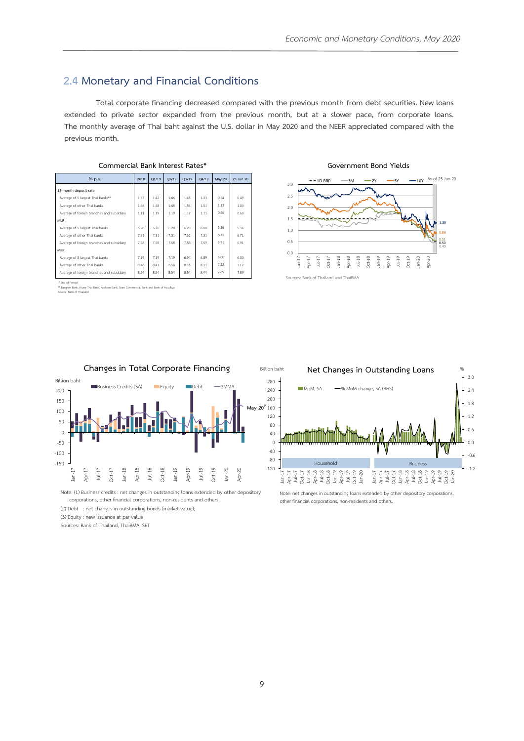### **2.4 Monetary and Financial Conditions**

 **extended to private sector expanded from the previous month, but at a slower pace, from corporate loans. Total corporate financing decreased compared with the previous month from debt securities. New loans The monthly average of Thai baht against the U.S. dollar in May 2020 and the NEER appreciated compared with the previous month.**

| % p.a.                                     | 2018 | O1/19 | O2/19 | O <sub>3/19</sub> | O4/19 | May 20 | 25 Jun 20 |
|--------------------------------------------|------|-------|-------|-------------------|-------|--------|-----------|
| 12-month deposit rate                      |      |       |       |                   |       |        |           |
| Average of 5 largest Thai banks**          | 1.37 | 1.42  | 1.46  | 1.45              | 1.33  | 0.54   | 0.49      |
| Average of other Thai banks                | 1.46 | 1.48  | 1.48  | 1.54              | 1.51  | 1.13   | 1.00      |
| Average of foreign branches and subsidiary | 1.11 | 1.19  | 1.19  | 1.17              | 1.11  | 0.66   | 0.60      |
| <b>MLR</b>                                 |      |       |       |                   |       |        |           |
| Average of 5 largest Thai banks            | 6.28 | 6.28  | 6.28  | 6.28              | 6.08  | 5.36   | 5.36      |
| Average of other Thai banks                | 7.31 | 7.31  | 7.31  | 7.31              | 7.31  | 6.75   | 6.71      |
| Average of foreign branches and subsidiary | 7.58 | 7.58  | 7.58  | 7.58              | 7.59  | 6.91   | 6.91      |
| <b>MRR</b>                                 |      |       |       |                   |       |        |           |
| Average of 5 largest Thai banks            | 7.19 | 7.19  | 7.19  | 6.94              | 6.89  | 6.00   | 6.00      |
| Average of other Thai banks                | 8.46 | 8.47  | 8.50  | 8.35              | 8.31  | 7 22   | 7.12      |
| Average of foreign branches and subsidiary | 8.54 | 8.54  | 8.54  | 8.54              | 8.44  | 7.89   | 7.89      |

**Commercial Bank Interest Rates\***

**Government Bond Yields**



End of Period

\*\* Bangkok Bank, Krung Thai Bank, Kasikorn Bank, Siam Commercial Bank and Bank of Ayudhya ne:<br>Bank of



Note: (1) Business credits : net changes in outstanding loans extended by other depository corporations, other financial corporations, non-residents and others;

(2) Debt : net changes in outstanding bonds (market value);

(3) Equity : new issuance at par value

Sources: Bank of Thailand, ThaiBMA, SET



Note: net changes in outstanding loans extended by other depository corporations, other financial corporations, non-residents and others.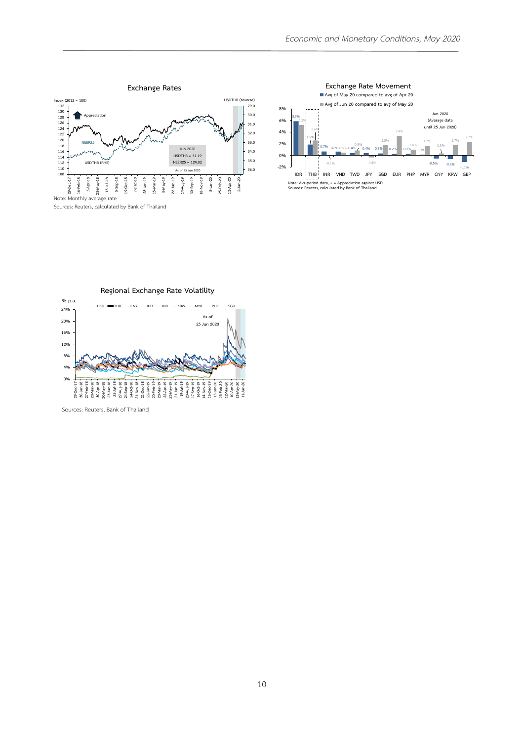



**Regional Exchange Rate Volatility**



Sources: Reuters, Bank of Thailand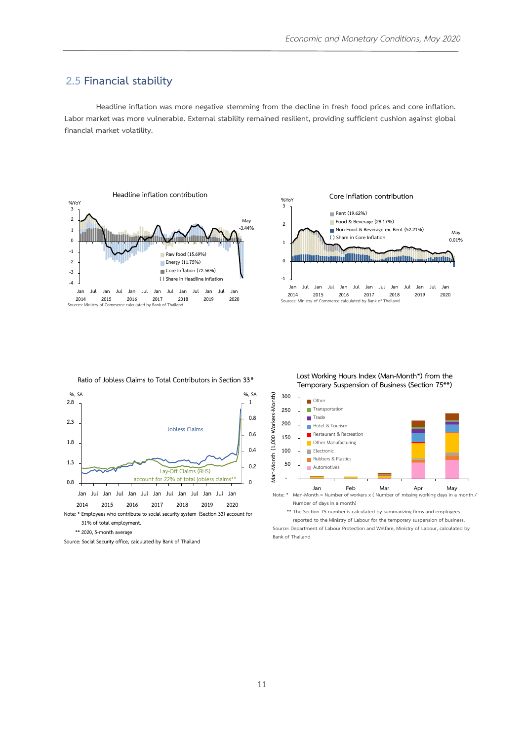### **2.5 Financial stability**

**Headline inflation was more negative stemming from the decline in fresh food prices and core inflation. Labor market was more vulnerable. External stability remained resilient, providing sufficient cushion against global financial market volatility.**





**Ratio of Jobless Claims to Total Contributors in Section 33** 



**<sup>\*\* 2020, 5-</sup>month average**

**Lost Working Hours Index (Man-Month\*) from the Temporary Suspension of Business (Section 75\*\*)**



**Number of days in a month)**

**\*\* The Section 75 number is calculated by summarizing firms and employees** 

**reported to the Ministry of Labour for the temporary suspension of business. Source: Department of Labour Protection and Welfare, Ministry of Labour, calculated by Bank of Thailand**

**Source: Social Security office, calculated by Bank of Thailand**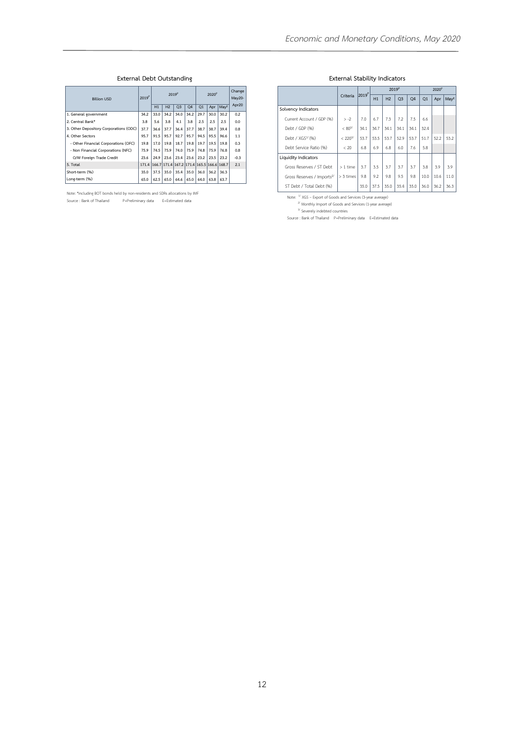#### **External Debt Outstanding**

| <b>Billion USD</b>                     |       | 2019 <sup>p</sup><br>2019 <sup>P</sup> |      |                                           |           | 2020 <sup>p</sup> |      |      | Change<br>May20- |
|----------------------------------------|-------|----------------------------------------|------|-------------------------------------------|-----------|-------------------|------|------|------------------|
|                                        |       | H1                                     | H2   | O <sub>3</sub>                            | <b>O4</b> | O1                | Apr  | MayE | Apr20            |
| 1. General government                  | 34.2  | 33.0                                   | 34.2 | 34.0                                      | 34.2      | 29.7              | 30.0 | 30.2 | 0.2              |
| 2. Central Bank*                       | 3.8   | 5.6                                    | 3.8  | 4.1                                       | 3.8       | 2.5               | 2.5  | 2.5  | 0.0              |
| 3. Other Depository Corporations (ODC) | 37.7  | 36.6                                   | 37.7 | 36.4                                      | 37.7      | 38.7              | 38.7 | 39.4 | 0.8              |
| 4. Other Sectors                       | 95.7  | 91.5                                   | 95.7 | 92.7                                      | 95.7      | 94.5              | 95.5 | 96.6 | 1.1              |
| - Other Financial Corporations (OFC)   | 19.8  | 17.0                                   | 19.8 | 18.7                                      | 19.8      | 19.7              | 19.5 | 19.8 | 0.3              |
| - Non Financial Corporations (NFC)     | 75.9  | 74.5                                   | 75.9 | 74.0                                      | 75.9      | 74.8              | 75.9 | 76.8 | 0.8              |
| O/W Foreign Trade Credit               | 23.6  | 24.9                                   | 23.6 | 23.4                                      | 23.6      | 23.2              | 23.5 | 23.2 | $-0.3$           |
| 5. Total                               | 171.4 |                                        |      | 166.7 171.4 167.2 171.4 165.5 166.6 168.7 |           |                   |      |      | 2.1              |
| Short-term (%)                         | 35.0  | 37.5                                   | 35.0 | 35.4                                      | 35.0      | 36.0              | 36.2 | 36.3 |                  |
| Lone-term (%)                          | 65.0  | 62.5                                   | 65.0 | 64.6                                      | 65.0      | 64.0              | 63.8 | 63.7 |                  |

Note: \*including BOT bonds held by non-residents and SDRs allocations by IMF Source : Bank of Thailand P=Preliminary data E=Estimated data

#### **External Stability Indicators**

|                                        |                    |                   |      |                | 2019 <sup>p</sup> | 2020 <sup>P</sup> |                |      |                  |
|----------------------------------------|--------------------|-------------------|------|----------------|-------------------|-------------------|----------------|------|------------------|
|                                        | Criteria           | 2019 <sup>P</sup> | H1   | H <sub>2</sub> | O <sub>3</sub>    | <b>O4</b>         | O <sub>1</sub> | Apr  | May <sup>E</sup> |
| Solvency Indicators                    |                    |                   |      |                |                   |                   |                |      |                  |
| Current Account / GDP (%)              | $> -2$             | 7.0               | 6.7  | 7.3            | 72                | 7.5               | 6.6            |      |                  |
| Debt / GDP (%)                         | $< 80^{3/}$        | 34.1              | 34.7 | 34.1           | 34.1              | 34.1              | 32.4           |      |                  |
| Debt / XGS <sup>1/</sup> (%)           | < 220 <sup>3</sup> | 53.7              | 53.5 | 53.7           | 52.9              | 53.7              | 51.7           | 52.2 | 53.2             |
| Debt Service Ratio (%)                 | < 20               | 6.8               | 6.9  | 6.8            | 6.0               | 7.6               | 5.8            |      |                  |
| Liquidity Indicators                   |                    |                   |      |                |                   |                   |                |      |                  |
| Gross Reserves / ST Debt               | $>1$ time          | 3.7               | 3.5  | 3.7            | 3.7               | 3.7               | 3.8            | 3.9  | 3.9              |
| Gross Reserves / Imports <sup>2/</sup> | > 3 times          | 9.8               | 92   | 9.8            | 9.5               | 9.8               | 10.0           | 10.6 | 11.0             |
| ST Debt / Total Debt (%)               |                    | 35.0              | 37.5 | 35.0           | 35.4              | 35.0              | 36.0           | 36.2 | 36.3             |

Note: <sup>V</sup> XGS – Export of Goods and Services (3-year average)<br>
<sup>2/</sup> Monthly Import of Goods and Services (1-year average)<br>
<sup>3/</sup> Severely indebted countries<br>
Source : Bank of Thailand P=Preliminary data E=Estimated data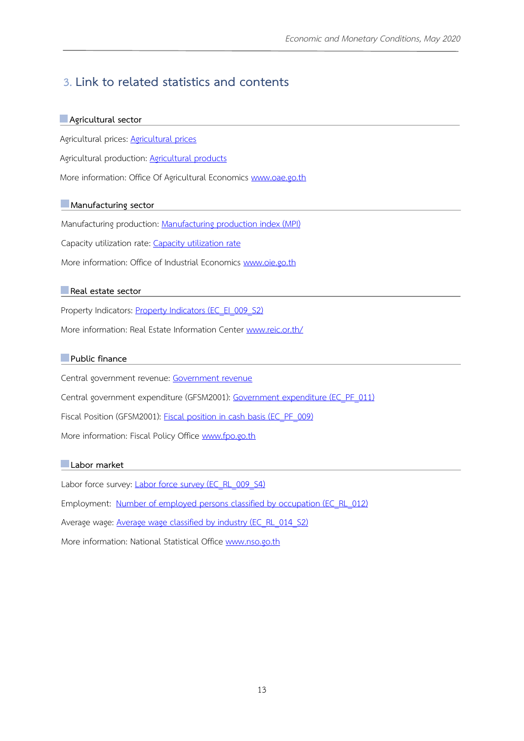# **3. Link to related statistics and contents**

### **Agricultural sector**

Agricultural prices: [Agricultural prices](http://www.oae.go.th/view/1/%E0%B8%A3%E0%B8%B2%E0%B8%84%E0%B8%B2%E0%B8%AA%E0%B8%B4%E0%B8%99%E0%B8%84%E0%B9%89%E0%B8%B2%E0%B9%80%E0%B8%81%E0%B8%A9%E0%B8%95%E0%B8%A3/TH-TH)

Agricultural production: [Agricultural products](http://www.oae.go.th/view/1/%E0%B8%82%E0%B9%89%E0%B8%AD%E0%B8%A1%E0%B8%B9%E0%B8%A5%E0%B8%81%E0%B8%B2%E0%B8%A3%E0%B8%9C%E0%B8%A5%E0%B8%B4%E0%B8%95%E0%B8%AA%E0%B8%B4%E0%B8%99%E0%B8%84%E0%B9%89%E0%B8%B2%E0%B9%80%E0%B8%81%E0%B8%A9%E0%B8%95%E0%B8%A3/TH-TH)

More information: Office Of Agricultural Economics [www.oae.go.th](http://www.oae.go.th/)

### **Manufacturing sector**

Manufacturing production: [Manufacturing production index \(MPI\)](http://www.oie.go.th/en/academic/index)

Capacity utilization rate: [Capacity utilization rate](http://www.oie.go.th/en/academic/index)

More information: Office of Industrial Economics [www.oie.go.th](http://www.oie.go.th/en)

### **Real estate sector**

Property Indicators: **Property Indicators (EC\_EI\_009\_S2)** 

More information: Real Estate Information Center [www.reic.or.th/](http://www.reic.or.th/InfoService/InfoMain.aspx)

### **Public finance**

Central government revenue: [Government revenue](http://www.fpo.go.th/main/Statistic-Database.aspx)

Central government expenditure (GFSM2001): [Government expenditure \(EC\\_PF\\_011\)](http://www2.bot.or.th/statistics/BOTWEBSTAT.aspx?reportID=700&language=ENG)

Fiscal Position (GFSM2001): Fiscal position in [cash basis \(EC\\_PF\\_009\)](http://www2.bot.or.th/statistics/BOTWEBSTAT.aspx?reportID=698&language=ENG)

More information: Fiscal Policy Office [www.fpo.go.th](http://www.fpo.go.th/main/?lang=en-us)

### **Labor market**

Labor force survey: [Labor force survey](http://www2.bot.or.th/statistics/BOTWEBSTAT.aspx?reportID=638&language=eng) (EC\_RL\_009\_S4)

Employment: [Number of employed persons classified by occupation](http://www2.bot.or.th/statistics/BOTWEBSTAT.aspx?reportID=629&language=eng) (EC\_RL\_012)

Average wage: **[Average wage classified by industry \(EC\\_RL\\_](http://www2.bot.or.th/statistics/BOTWEBSTAT.aspx?reportID=636&language=eng)014\_S2)** 

More information: National Statistical Office [www.nso.go.th](http://www.nso.go.th/sites/2014en)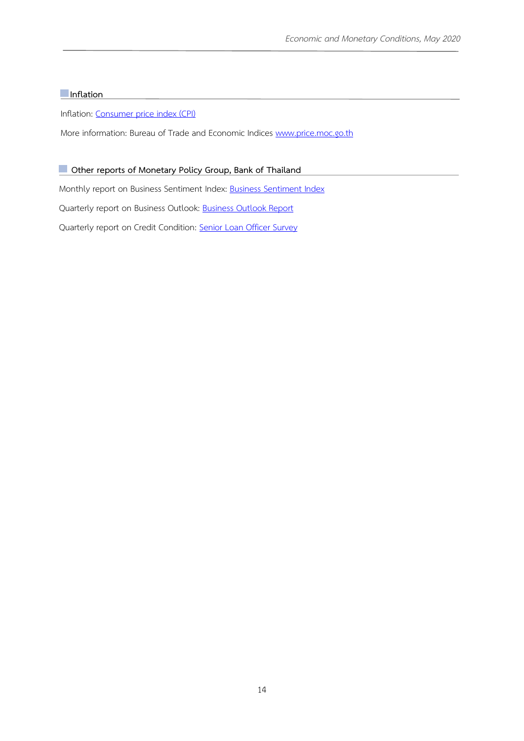### **Inflation**

Inflation: [Consumer price index \(CPI\)](http://www.indexpr.moc.go.th/price_present/cpi/stat/others/report_core1.asp?tb=cpig_index_country&code=93&c_index=a.change_year)

More information: Bureau of Trade and Economic Indices [www.price.moc.go.th](http://www.price.moc.go.th/en/home_en)

### $\blacksquare$  Other reports of Monetary Policy Group, Bank of Thailand

Monthly report on Business Sentiment Index: [Business Sentiment Index](https://www.bot.or.th/Thai/MonetaryPolicy/EconomicConditions/EconomicIndices/Pages/default.aspx)

Quarterly report on Business Outlook: [Business Outlook Report](https://www.bot.or.th/Thai/MonetaryPolicy/EconomicConditions/Pages/BLP.aspx)

Quarterly report on Credit Condition: [Senior Loan Officer Survey](https://www.bot.or.th/Thai/MonetaryPolicy/EconomicConditions/Pages/CreditCondition.aspx)